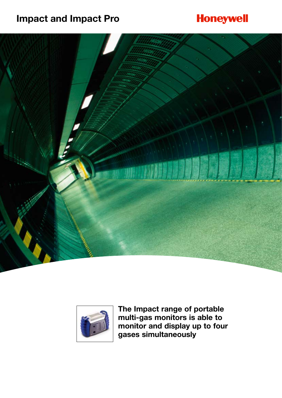# **Impact and Impact Pro**

# **Honeywell**





**The Impact range of portable multi-gas monitors is able to monitor and display up to four gases simultaneously**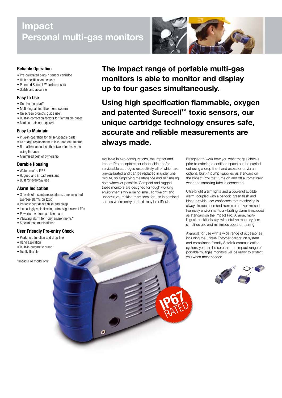# **Impact Personal multi-gas monitors**



- Pre-calibrated plug-in sensor cartridge
- High specification sensors
- Patented Surecell™ toxic sensors • Stable and accurate
- 

# **Easy to Use**

- One button on/off
- Multi-lingual, intuitive menu system
- On screen prompts guide user
- Built-in correction factors for flammable gases • Minimal training required

- **Easy to Maintain**
- Plug-in operation for all serviceable parts • Cartridge replacement in less than one minute
- Re-calibration in less than two minutes when
- using Enforcer
- Minimised cost of ownership

## **Durable Housing**

- Waterproof to IP67
- Rugged and impact resistant
- Built for everyday use

## **Alarm Indication**

- 3 levels of instantaneous alarm, time weighted average alarms on toxic
- Periodic confidence flash and bleep
- Increasingly rapid flashing, ultra-bright alarm LEDs
- Powerful two tone audible alarm
- Vibrating alarm for noisy environments\*
- Safelink communications\*

## **User Friendly Pre-entry Check**

- Peak hold function and drop line
- Hand aspiration
- Built-in automatic pump\*
- Totally flexible

\*Impact Pro model only



**The Impact range of portable multi-gas monitors is able to monitor and display up to four gases simultaneously.**

**Using high specification flammable, oxygen and patented Surecell™ toxic sensors, our unique cartridge technology ensures safe, accurate and reliable measurements are always made.**

**IP67**

RATED

Available in two configurations, the Impact and Impact Pro accepts either disposable and/or serviceable cartridges respectively, all of which are pre-calibrated and can be replaced in under one minute, so simplifying maintenance and minimising cost wherever possible. Compact and rugged these monitors are designed for tough working environments while being small, lightweight and unobtrusive, making them ideal for use in confined spaces where entry and exit may be difficult.

Designed to work how you want to; gas checks prior to entering a confined space can be carried out using a drop line, hand aspirator or via an optional built-in pump (supplied as standard on the Impact Pro) that turns on and off automatically when the sampling tube is connected.

Ultra-bright alarm lights and a powerful audible alarm, coupled with a periodic green flash and bleep provide user confidence that monitoring is always in operation and alarms are never missed. For noisy environments a vibrating alarm is included as standard on the Impact Pro. A large, multilingual, backlit display, with intuitive menu system simplifies use and minimises operator training.

Available for use with a wide range of accessories including the unique Enforcer calibration system and compliance friendly Safelink communication system, you can be sure that the Impact range of portable multigas monitors will be ready to protect you when most needed.

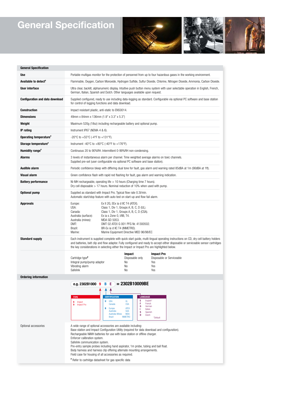# **General Specification**





| <b>General Specification</b>           |                                                                                                                                                                                                                                                                                                                                                                                                                                                                                                                                                                                                  |                                                                                                                                                                                                            |                                                                     |
|----------------------------------------|--------------------------------------------------------------------------------------------------------------------------------------------------------------------------------------------------------------------------------------------------------------------------------------------------------------------------------------------------------------------------------------------------------------------------------------------------------------------------------------------------------------------------------------------------------------------------------------------------|------------------------------------------------------------------------------------------------------------------------------------------------------------------------------------------------------------|---------------------------------------------------------------------|
| Use                                    | Portable multigas monitor for the protection of personnel from up to four hazardous gases in the working environment.                                                                                                                                                                                                                                                                                                                                                                                                                                                                            |                                                                                                                                                                                                            |                                                                     |
| Available to detect <sup>#</sup>       | Flammable, Oxygen, Carbon Monoxide, Hydrogen Sulfide, Sulfur Dioxide, Chlorine, Nitrogen Dioxide, Ammonia, Carbon Dioxide.                                                                                                                                                                                                                                                                                                                                                                                                                                                                       |                                                                                                                                                                                                            |                                                                     |
| User interface                         | Ultra clear, backlit, alphanumeric display. Intuitive push button menu system with user selectable operation in English, French,<br>German, Italian, Spanish and Dutch. Other languages available upon request.                                                                                                                                                                                                                                                                                                                                                                                  |                                                                                                                                                                                                            |                                                                     |
| <b>Configuration and data download</b> | Supplied configured, ready to use including data-logging as standard. Configurable via optional PC software and base station<br>for control of logging functions and data download.                                                                                                                                                                                                                                                                                                                                                                                                              |                                                                                                                                                                                                            |                                                                     |
| <b>Construction</b>                    | Impact resistant plastic, anti-static to EN50014.                                                                                                                                                                                                                                                                                                                                                                                                                                                                                                                                                |                                                                                                                                                                                                            |                                                                     |
| <b>Dimensions</b>                      | 49mm x 84mm x 136mm (1.9" x 3.3" x 5.3")                                                                                                                                                                                                                                                                                                                                                                                                                                                                                                                                                         |                                                                                                                                                                                                            |                                                                     |
| Weight                                 | Maximum 520g (18oz) including rechargeable battery and optional pump.                                                                                                                                                                                                                                                                                                                                                                                                                                                                                                                            |                                                                                                                                                                                                            |                                                                     |
| IP rating                              | Instrument IP67 (NEMA 4 & 6).                                                                                                                                                                                                                                                                                                                                                                                                                                                                                                                                                                    |                                                                                                                                                                                                            |                                                                     |
| Operating temperature <sup>*</sup>     | -20°C to +55°C (-4°F to +131°F).                                                                                                                                                                                                                                                                                                                                                                                                                                                                                                                                                                 |                                                                                                                                                                                                            |                                                                     |
| Storage temperature <sup>#</sup>       | Instrument -40°C to +80°C (-40°F to +176°F).                                                                                                                                                                                                                                                                                                                                                                                                                                                                                                                                                     |                                                                                                                                                                                                            |                                                                     |
| Humidity range*                        | Continuous 20 to 90%RH. Intermittent 0-99%RH non-condensing.                                                                                                                                                                                                                                                                                                                                                                                                                                                                                                                                     |                                                                                                                                                                                                            |                                                                     |
| Alarms                                 | 3 levels of instantaneous alarm per channel. Time weighted average alarms on toxic channels.<br>Supplied pre-set (user configurable via optional PC software and base station).                                                                                                                                                                                                                                                                                                                                                                                                                  |                                                                                                                                                                                                            |                                                                     |
| Audible alarm                          | Periodic confidence bleep with differing dual tone for fault, gas alarm and warning rated 85dBA at 1m (90dBA at 1ft).                                                                                                                                                                                                                                                                                                                                                                                                                                                                            |                                                                                                                                                                                                            |                                                                     |
| <b>Visual alarm</b>                    | Green confidence flash with rapid red flashing for fault, gas alarm and warning indication.                                                                                                                                                                                                                                                                                                                                                                                                                                                                                                      |                                                                                                                                                                                                            |                                                                     |
| <b>Battery performance</b>             | Ni-MH rechargeable, operating life $> 10$ hours (Charging time 7 hours).<br>Dry cell disposable $> 17$ hours. Nominal reduction of 10% when used with pump.                                                                                                                                                                                                                                                                                                                                                                                                                                      |                                                                                                                                                                                                            |                                                                     |
| Optional pump                          | Supplied as standard with Impact Pro. Typical flow rate 0.3/min.<br>Automatic start/stop feature with auto-test on start-up and flow fail alarm.                                                                                                                                                                                                                                                                                                                                                                                                                                                 |                                                                                                                                                                                                            |                                                                     |
| <b>Approvals</b>                       | Ex II 2G, EEx ia d IIC T4 (ATEX).<br>Europe:<br>USA:<br>Class 1, Div 1, Groups A, B, C, D (UL).<br>Canada:<br>Class 1, Div 1, Groups A, B, C, D (CSA).<br>Ex ia s Zone 0, I/IIB, T4.<br>Australia (surface):<br>MDA GD 5053.<br>Australia (mines):<br>DMT:<br>DMT 02 ATEX G 001 PFG Nr. 41300502.<br>Brazil:<br>BR-Ex ia d IIC T4 (INMETRO).<br>Marine:<br>Marine Equipment Directive MED 96/98/EC                                                                                                                                                                                               |                                                                                                                                                                                                            |                                                                     |
| <b>Standard supply</b>                 | Each instrument is supplied complete with quick start guide, multi-lingual operating instructions on CD, dry cell battery holders<br>and batteries, belt clip and flow adaptor. Fully configured and ready to accept either disposable or serviceable sensor cartridges<br>the key considerations in selecting either the Impact or Impact Pro are highlighted below.                                                                                                                                                                                                                            |                                                                                                                                                                                                            |                                                                     |
|                                        | Cartridge type <sup>#</sup><br>Integral pump/pump adaptor<br>Vibrating alarm<br>Safelink                                                                                                                                                                                                                                                                                                                                                                                                                                                                                                         | <b>Impact</b><br>Disposable only<br>No<br>No<br>No                                                                                                                                                         | <b>Impact Pro</b><br>Disposable or Serviceable<br>Yes<br>Yes<br>Yes |
| <b>Ordering information</b>            |                                                                                                                                                                                                                                                                                                                                                                                                                                                                                                                                                                                                  |                                                                                                                                                                                                            |                                                                     |
|                                        | e.g. 2302B1000 9<br>В<br>Е<br><b>CERTIFICATION</b><br><b>TYPE</b><br><b>USA</b><br>U<br>8<br>Impact<br>Canada<br><b>Impact Pro</b><br>9<br>в<br>Europe<br>Australia<br><b>Australia Mines</b><br><b>Brazil</b>                                                                                                                                                                                                                                                                                                                                                                                   | $= 2302B10009BE$<br><b>LANGUAGE</b><br>E<br>English*<br>UL<br>F<br>French<br><b>CSA</b><br>G<br>German<br><b>ATEX</b><br>т<br>Italian<br>SAA<br>s<br>Spanish<br><b>MDA</b><br>D<br>Dutch<br><b>INMETRO</b> | *Default                                                            |
| Optional accessories                   | A wide range of optional accessories are available including:<br>Base station and Impact Configuration Utility (required for data download and configuration).<br>Rechargeable NiMH batteries for use with base station or offline charger.<br>Enforcer calibration system.<br>Safelink communication system.<br>Pre-entry sample probes including hand aspirator, 1m probe, tubing and ball float.<br>Body harness and harness clip offering alternate mounting arrangements.<br>Field case for housing of all accessories as required.<br>* Refer to cartridge datasheet for gas specific data |                                                                                                                                                                                                            |                                                                     |